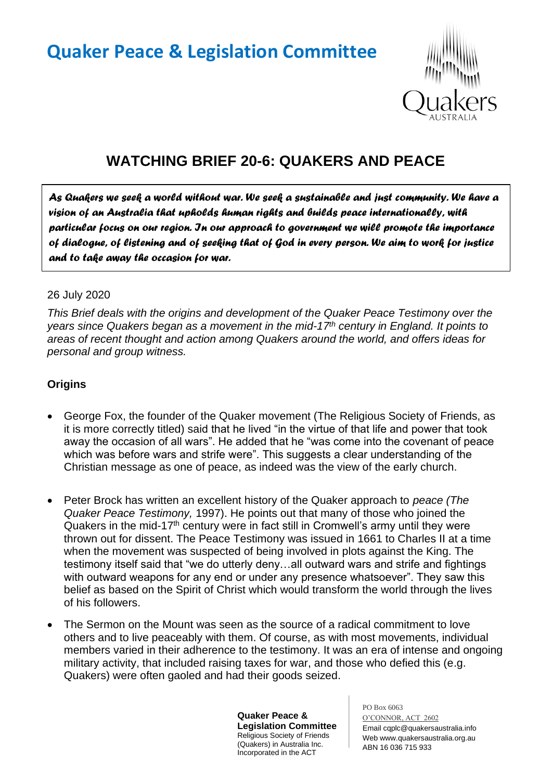# **Quaker Peace & Legislation Committee**



## **WATCHING BRIEF 20-6: QUAKERS AND PEACE**

*As Quakers we seek a world without war. We seek a sustainable and just community. We have a vision of an Australia that upholds human rights and builds peace internationally, with particular focus on our region. In our approach to government we will promote the importance of dialogue, of listening and of seeking that of God in every person. We aim to work for justice and to take away the occasion for war.* 

#### 26 July 2020

*This Brief deals with the origins and development of the Quaker Peace Testimony over the years since Quakers began as a movement in the mid-17th century in England. It points to areas of recent thought and action among Quakers around the world, and offers ideas for personal and group witness.*

#### **Origins**

- George Fox, the founder of the Quaker movement (The Religious Society of Friends, as it is more correctly titled) said that he lived "in the virtue of that life and power that took away the occasion of all wars". He added that he "was come into the covenant of peace which was before wars and strife were". This suggests a clear understanding of the Christian message as one of peace, as indeed was the view of the early church.
- Peter Brock has written an excellent history of the Quaker approach to *peace (The Quaker Peace Testimony,* 1997). He points out that many of those who joined the Quakers in the mid-17<sup>th</sup> century were in fact still in Cromwell's army until they were thrown out for dissent. The Peace Testimony was issued in 1661 to Charles II at a time when the movement was suspected of being involved in plots against the King. The testimony itself said that "we do utterly deny…all outward wars and strife and fightings with outward weapons for any end or under any presence whatsoever". They saw this belief as based on the Spirit of Christ which would transform the world through the lives of his followers.
- The Sermon on the Mount was seen as the source of a radical commitment to love others and to live peaceably with them. Of course, as with most movements, individual members varied in their adherence to the testimony. It was an era of intense and ongoing military activity, that included raising taxes for war, and those who defied this (e.g. Quakers) were often gaoled and had their goods seized.

**Quaker Peace & Legislation Committee** Religious Society of Friends (Quakers) in Australia Inc. Incorporated in the ACT

PO Box 6063 O'CONNOR, ACT 2602 Email cqplc@quakersaustralia.info Web www.quakersaustralia.org.au ABN 16 036 715 933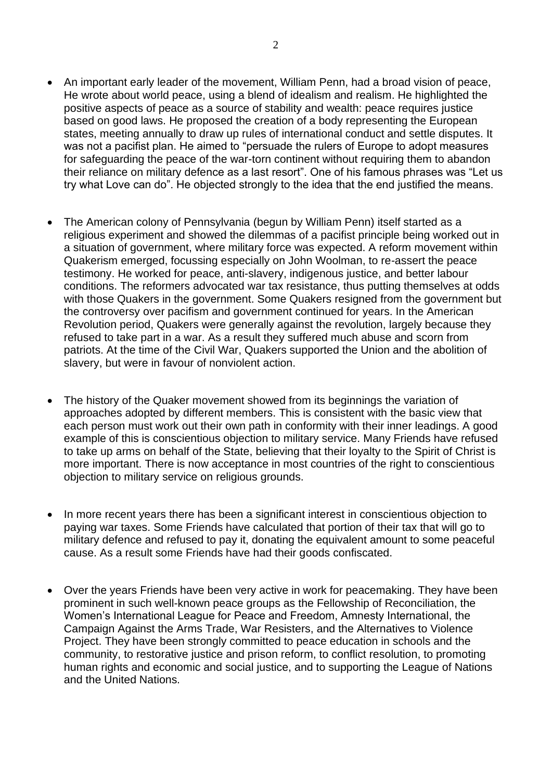- An important early leader of the movement, William Penn, had a broad vision of peace, He wrote about world peace, using a blend of idealism and realism. He highlighted the positive aspects of peace as a source of stability and wealth: peace requires justice based on good laws. He proposed the creation of a body representing the European states, meeting annually to draw up rules of international conduct and settle disputes. It was not a pacifist plan. He aimed to "persuade the rulers of Europe to adopt measures for safeguarding the peace of the war-torn continent without requiring them to abandon their reliance on military defence as a last resort". One of his famous phrases was "Let us try what Love can do". He objected strongly to the idea that the end justified the means.
- The American colony of Pennsylvania (begun by William Penn) itself started as a religious experiment and showed the dilemmas of a pacifist principle being worked out in a situation of government, where military force was expected. A reform movement within Quakerism emerged, focussing especially on John Woolman, to re-assert the peace testimony. He worked for peace, anti-slavery, indigenous justice, and better labour conditions. The reformers advocated war tax resistance, thus putting themselves at odds with those Quakers in the government. Some Quakers resigned from the government but the controversy over pacifism and government continued for years. In the American Revolution period, Quakers were generally against the revolution, largely because they refused to take part in a war. As a result they suffered much abuse and scorn from patriots. At the time of the Civil War, Quakers supported the Union and the abolition of slavery, but were in favour of nonviolent action.
- The history of the Quaker movement showed from its beginnings the variation of approaches adopted by different members. This is consistent with the basic view that each person must work out their own path in conformity with their inner leadings. A good example of this is conscientious objection to military service. Many Friends have refused to take up arms on behalf of the State, believing that their loyalty to the Spirit of Christ is more important. There is now acceptance in most countries of the right to conscientious objection to military service on religious grounds.
- In more recent years there has been a significant interest in conscientious objection to paying war taxes. Some Friends have calculated that portion of their tax that will go to military defence and refused to pay it, donating the equivalent amount to some peaceful cause. As a result some Friends have had their goods confiscated.
- Over the years Friends have been very active in work for peacemaking. They have been prominent in such well-known peace groups as the Fellowship of Reconciliation, the Women's International League for Peace and Freedom, Amnesty International, the Campaign Against the Arms Trade, War Resisters, and the Alternatives to Violence Project. They have been strongly committed to peace education in schools and the community, to restorative justice and prison reform, to conflict resolution, to promoting human rights and economic and social justice, and to supporting the League of Nations and the United Nations.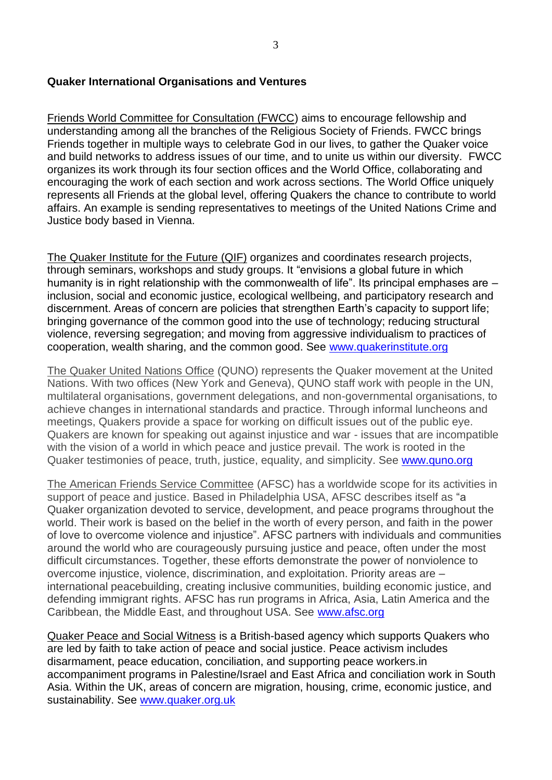#### **Quaker International Organisations and Ventures**

Friends World Committee for Consultation (FWCC) aims to encourage fellowship and understanding among all the branches of the Religious Society of Friends. FWCC brings Friends together in multiple ways to celebrate God in our lives, to gather the Quaker voice and build networks to address issues of our time, and to unite us within our diversity. FWCC organizes its work through its four section offices and the World Office, collaborating and encouraging the work of each section and work across sections. The World Office uniquely represents all Friends at the global level, offering Quakers the chance to contribute to world affairs. An example is sending representatives to meetings of the United Nations Crime and Justice body based in Vienna.

The Quaker Institute for the Future (QIF) organizes and coordinates research projects, through seminars, workshops and study groups. It "envisions a global future in which humanity is in right relationship with the commonwealth of life". Its principal emphases are inclusion, social and economic justice, ecological wellbeing, and participatory research and discernment. Areas of concern are policies that strengthen Earth's capacity to support life; bringing governance of the common good into the use of technology; reducing structural violence, reversing segregation; and moving from aggressive individualism to practices of cooperation, wealth sharing, and the common good. See [www.quakerinstitute.org](http://www.quakerinstitute.org/)

The Quaker United Nations Office (QUNO) represents the Quaker movement at the United Nations. With two offices (New York and Geneva), QUNO staff work with people in the UN, multilateral organisations, government delegations, and non-governmental organisations, to achieve changes in international standards and practice. Through informal luncheons and meetings, Quakers provide a space for working on difficult issues out of the public eye. Quakers are known for speaking out against injustice and war - issues that are incompatible with the vision of a world in which peace and justice prevail. The work is rooted in the Quaker testimonies of peace, truth, justice, equality, and simplicity. See www.quno.org

The American Friends Service Committee (AFSC) has a worldwide scope for its activities in support of peace and justice. Based in Philadelphia USA, AFSC describes itself as "a Quaker organization devoted to service, development, and peace programs throughout the world. Their work is based on the belief in the worth of every person, and faith in the power of love to overcome violence and injustice". AFSC partners with individuals and communities around the world who are courageously pursuing justice and peace, often under the most difficult circumstances. Together, these efforts demonstrate the power of nonviolence to overcome injustice, violence, discrimination, and exploitation. Priority areas are – international peacebuilding, creating inclusive communities, building economic justice, and defending immigrant rights. AFSC has run programs in Africa, Asia, Latin America and the Caribbean, the Middle East, and throughout USA. See [www.afsc.org](http://www.afsc.org/)

Quaker Peace and Social Witness is a British-based agency which supports Quakers who are led by faith to take action of peace and social justice. Peace activism includes disarmament, peace education, conciliation, and supporting peace workers.in accompaniment programs in Palestine/Israel and East Africa and conciliation work in South Asia. Within the UK, areas of concern are migration, housing, crime, economic justice, and sustainability. See [www.quaker.org.uk](http://www.quaker.org.uk/)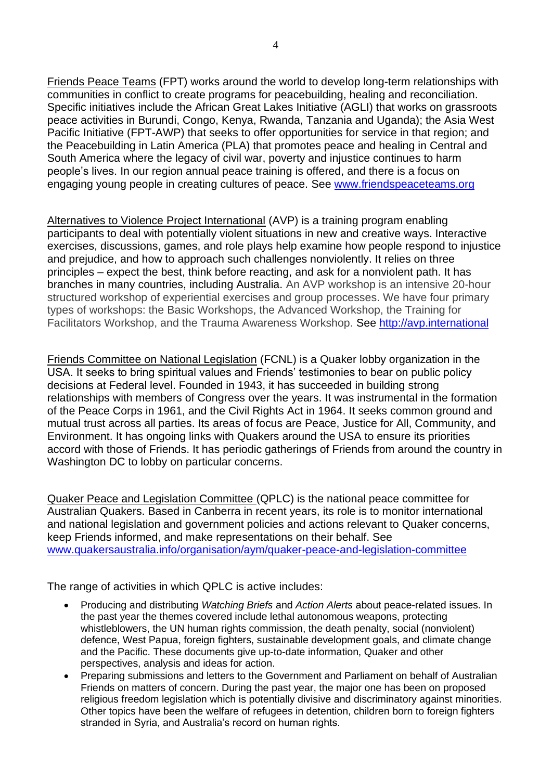Friends Peace Teams (FPT) works around the world to develop long-term relationships with communities in conflict to create programs for peacebuilding, healing and reconciliation. Specific initiatives include the African Great Lakes Initiative (AGLI) that works on grassroots peace activities in Burundi, Congo, Kenya, Rwanda, Tanzania and Uganda); the Asia West Pacific Initiative (FPT-AWP) that seeks to offer opportunities for service in that region; and the Peacebuilding in Latin America (PLA) that promotes peace and healing in Central and South America where the legacy of civil war, poverty and injustice continues to harm people's lives. In our region annual peace training is offered, and there is a focus on engaging young people in creating cultures of peace. See [www.friendspeaceteams.org](http://www.friendspeaceteams.org/)

Alternatives to Violence Project International (AVP) is a training program enabling participants to deal with potentially violent situations in new and creative ways. Interactive exercises, discussions, games, and role plays help examine how people respond to injustice and prejudice, and how to approach such challenges nonviolently. It relies on three principles – expect the best, think before reacting, and ask for a nonviolent path. It has branches in many countries, including Australia. An AVP workshop is an intensive 20-hour structured workshop of experiential exercises and group processes. We have four primary types of workshops: the Basic Workshops, the Advanced Workshop, the Training for Facilitators Workshop, and the Trauma Awareness Workshop. See [http://avp.international](http://avp.international/)

Friends Committee on National Legislation (FCNL) is a Quaker lobby organization in the USA. It seeks to bring spiritual values and Friends' testimonies to bear on public policy decisions at Federal level. Founded in 1943, it has succeeded in building strong relationships with members of Congress over the years. It was instrumental in the formation of the Peace Corps in 1961, and the Civil Rights Act in 1964. It seeks common ground and mutual trust across all parties. Its areas of focus are Peace, Justice for All, Community, and Environment. It has ongoing links with Quakers around the USA to ensure its priorities accord with those of Friends. It has periodic gatherings of Friends from around the country in Washington DC to lobby on particular concerns.

Quaker Peace and Legislation Committee (QPLC) is the national peace committee for Australian Quakers. Based in Canberra in recent years, its role is to monitor international and national legislation and government policies and actions relevant to Quaker concerns, keep Friends informed, and make representations on their behalf. See [www.quakersaustralia.info/organisation/aym/quaker-peace-and-legislation-committee](http://www.quakersaustralia.info/organisation/aym/quaker-peace-and-legislation-committee)

The range of activities in which QPLC is active includes:

- Producing and distributing *Watching Briefs* and *Action Alerts* about peace-related issues. In the past year the themes covered include lethal autonomous weapons, protecting whistleblowers, the UN human rights commission, the death penalty, social (nonviolent) defence, West Papua, foreign fighters, sustainable development goals, and climate change and the Pacific. These documents give up-to-date information, Quaker and other perspectives, analysis and ideas for action.
- Preparing submissions and letters to the Government and Parliament on behalf of Australian Friends on matters of concern. During the past year, the major one has been on proposed religious freedom legislation which is potentially divisive and discriminatory against minorities. Other topics have been the welfare of refugees in detention, children born to foreign fighters stranded in Syria, and Australia's record on human rights.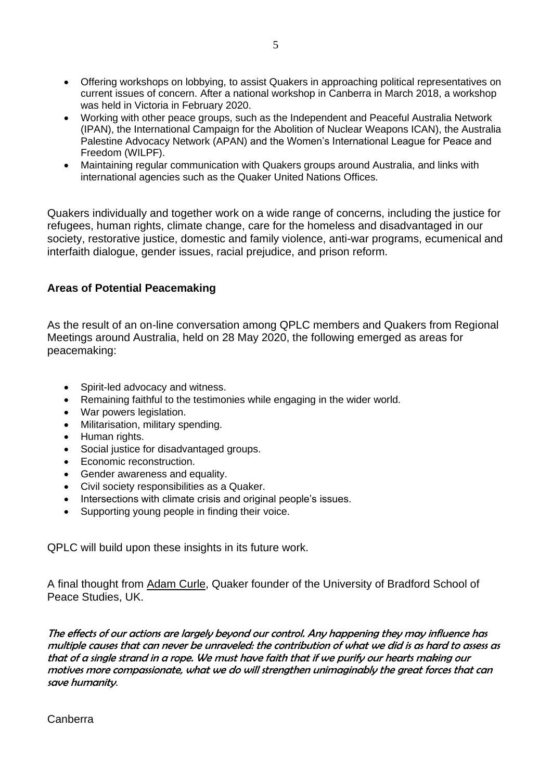- Offering workshops on lobbying, to assist Quakers in approaching political representatives on current issues of concern. After a national workshop in Canberra in March 2018, a workshop was held in Victoria in February 2020.
- Working with other peace groups, such as the Independent and Peaceful Australia Network (IPAN), the International Campaign for the Abolition of Nuclear Weapons ICAN), the Australia Palestine Advocacy Network (APAN) and the Women's International League for Peace and Freedom (WILPF).
- Maintaining regular communication with Quakers groups around Australia, and links with international agencies such as the Quaker United Nations Offices.

Quakers individually and together work on a wide range of concerns, including the justice for refugees, human rights, climate change, care for the homeless and disadvantaged in our society, restorative justice, domestic and family violence, anti-war programs, ecumenical and interfaith dialogue, gender issues, racial prejudice, and prison reform.

### **Areas of Potential Peacemaking**

As the result of an on-line conversation among QPLC members and Quakers from Regional Meetings around Australia, held on 28 May 2020, the following emerged as areas for peacemaking:

- Spirit-led advocacy and witness.
- Remaining faithful to the testimonies while engaging in the wider world.
- War powers legislation.
- Militarisation, military spending.
- Human rights.
- Social justice for disadvantaged groups.
- Economic reconstruction.
- Gender awareness and equality.
- Civil society responsibilities as a Quaker.
- Intersections with climate crisis and original people's issues.
- Supporting young people in finding their voice.

QPLC will build upon these insights in its future work.

A final thought from Adam Curle, Quaker founder of the University of Bradford School of Peace Studies, UK.

The effects of our actions are largely beyond our control. Any happening they may influence has multiple causes that can never be unraveled: the contribution of what we did is as hard to assess as that of a single strand in a rope. We must have faith that if we purify our hearts making our motives more compassionate, what we do will strengthen unimaginably the great forces that can save humanity.

Canberra